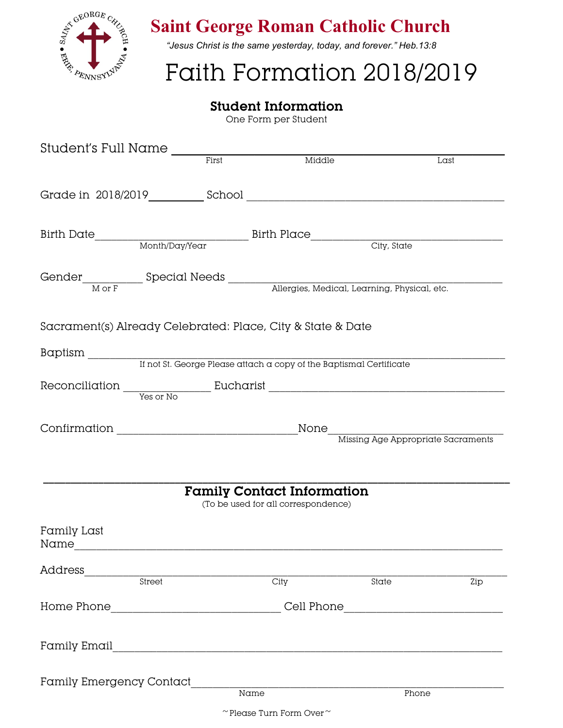

## **Saint George Roman Catholic Church**

*"Jesus Christ is the same yesterday, today, and forever." Heb.13:8*

# Faith Formation 2018/2019

### **Student Information**

One Form per Student

| Student's Full Name                                          |        |                                                                                  |                                                                          |       |      |  |
|--------------------------------------------------------------|--------|----------------------------------------------------------------------------------|--------------------------------------------------------------------------|-------|------|--|
|                                                              |        | First                                                                            | Middle                                                                   |       | Last |  |
|                                                              |        |                                                                                  |                                                                          |       |      |  |
|                                                              |        |                                                                                  |                                                                          |       |      |  |
|                                                              |        |                                                                                  |                                                                          |       |      |  |
| Gender Mor F Special Needs Medical, Learning, Physical, etc. |        |                                                                                  |                                                                          |       |      |  |
|                                                              |        |                                                                                  |                                                                          |       |      |  |
| Sacrament(s) Already Celebrated: Place, City & State & Date  |        |                                                                                  |                                                                          |       |      |  |
|                                                              |        |                                                                                  |                                                                          |       |      |  |
|                                                              |        |                                                                                  |                                                                          |       |      |  |
|                                                              |        |                                                                                  |                                                                          |       |      |  |
|                                                              |        |                                                                                  |                                                                          |       |      |  |
|                                                              |        |                                                                                  |                                                                          |       |      |  |
|                                                              |        |                                                                                  | <b>Family Contact Information</b><br>(To be used for all correspondence) |       |      |  |
| Family Last                                                  |        |                                                                                  |                                                                          |       |      |  |
| Address                                                      |        |                                                                                  |                                                                          |       |      |  |
|                                                              | Street |                                                                                  | City                                                                     | State | Zip  |  |
|                                                              |        | Home Phone__________________________________Cell Phone__________________________ |                                                                          |       |      |  |
|                                                              |        |                                                                                  |                                                                          |       |      |  |
| Family Emergency Contact                                     |        | $\frac{1}{\text{Name}}$                                                          |                                                                          |       |      |  |
|                                                              |        |                                                                                  |                                                                          | Phone |      |  |